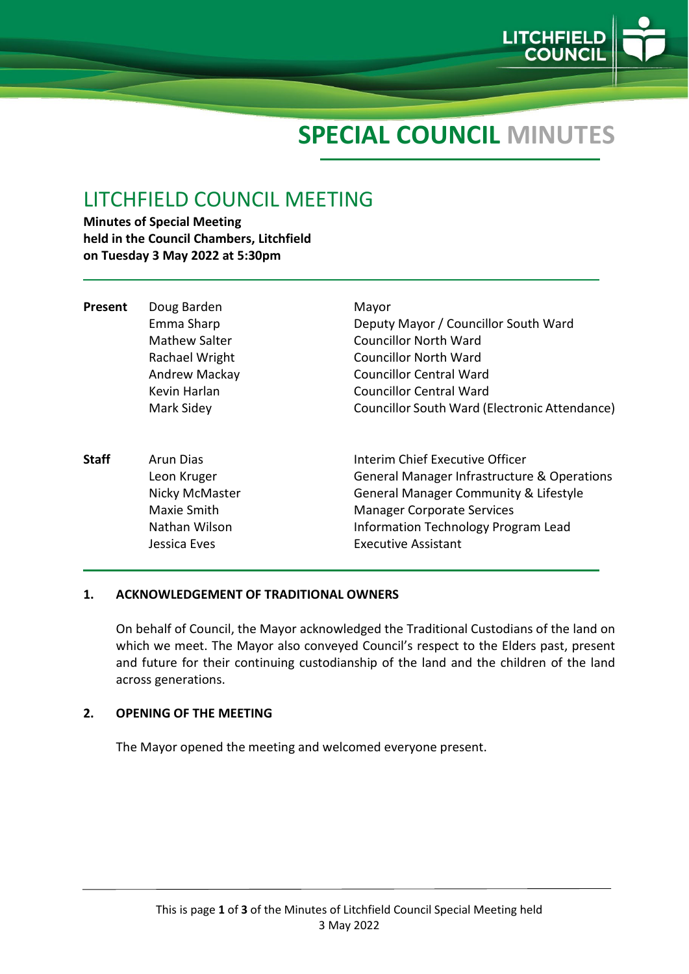

# **SPECIAL COUNCIL MINUTES**

# LITCHFIELD COUNCIL MEETING

**Minutes of Special Meeting held in the Council Chambers, Litchfield on Tuesday 3 May 2022 at 5:30pm**

| <b>Present</b> | Doug Barden<br>Emma Sharp<br><b>Mathew Salter</b><br>Rachael Wright<br>Andrew Mackay<br>Kevin Harlan<br>Mark Sidey | Mayor<br>Deputy Mayor / Councillor South Ward<br><b>Councillor North Ward</b><br>Councillor North Ward<br><b>Councillor Central Ward</b><br>Councillor Central Ward<br>Councillor South Ward (Electronic Attendance)                                    |
|----------------|--------------------------------------------------------------------------------------------------------------------|---------------------------------------------------------------------------------------------------------------------------------------------------------------------------------------------------------------------------------------------------------|
| <b>Staff</b>   | Arun Dias<br>Leon Kruger<br>Nicky McMaster<br>Maxie Smith<br>Nathan Wilson<br>Jessica Eves                         | Interim Chief Executive Officer<br><b>General Manager Infrastructure &amp; Operations</b><br><b>General Manager Community &amp; Lifestyle</b><br><b>Manager Corporate Services</b><br>Information Technology Program Lead<br><b>Executive Assistant</b> |

#### **1. ACKNOWLEDGEMENT OF TRADITIONAL OWNERS**

On behalf of Council, the Mayor acknowledged the Traditional Custodians of the land on which we meet. The Mayor also conveyed Council's respect to the Elders past, present and future for their continuing custodianship of the land and the children of the land across generations.

#### **2. OPENING OF THE MEETING**

The Mayor opened the meeting and welcomed everyone present.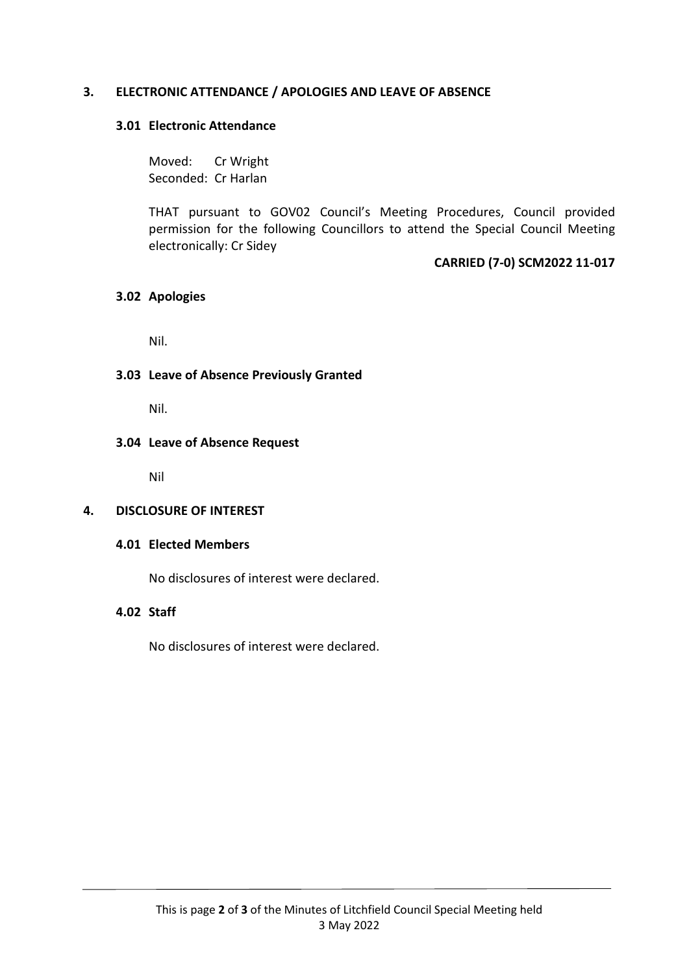# **3. ELECTRONIC ATTENDANCE / APOLOGIES AND LEAVE OF ABSENCE**

#### **3.01 Electronic Attendance**

Moved: Cr Wright Seconded: Cr Harlan

THAT pursuant to GOV02 Council's Meeting Procedures, Council provided permission for the following Councillors to attend the Special Council Meeting electronically: Cr Sidey

**CARRIED (7-0) SCM2022 11-017**

#### **3.02 Apologies**

Nil.

# **3.03 Leave of Absence Previously Granted**

Nil.

#### **3.04 Leave of Absence Request**

Nil

# **4. DISCLOSURE OF INTEREST**

#### **4.01 Elected Members**

No disclosures of interest were declared.

# **4.02 Staff**

No disclosures of interest were declared.